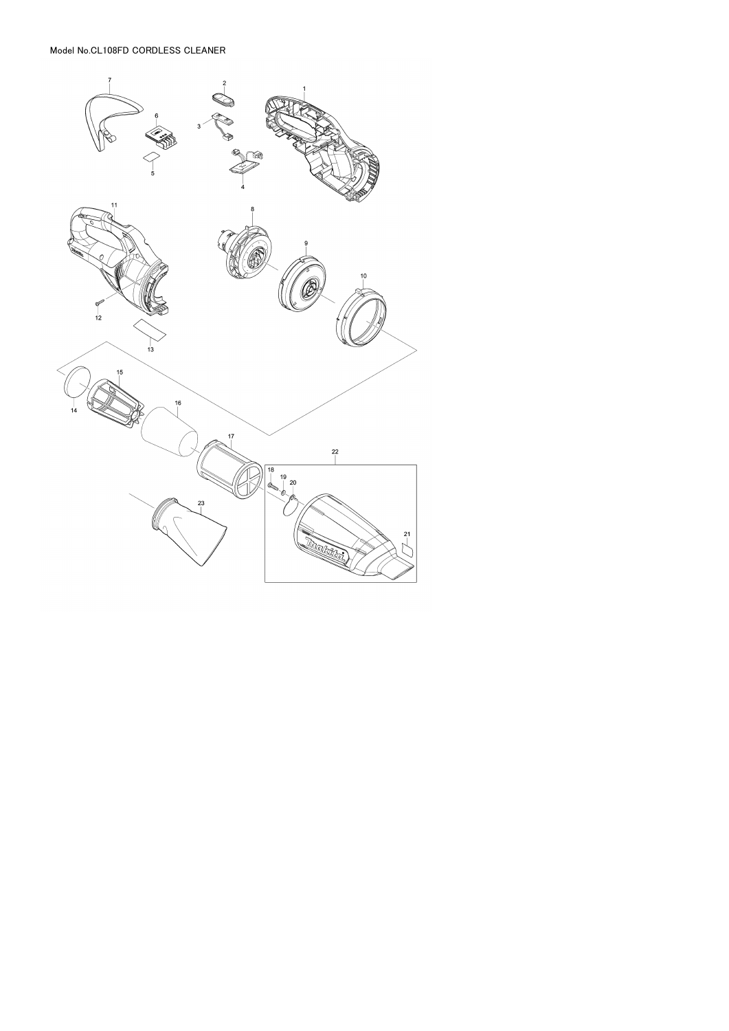Model No.CL108FD CORDLESS CLEANER